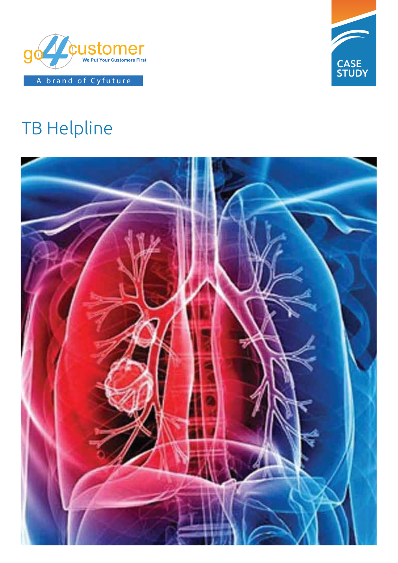



# TB Helpline